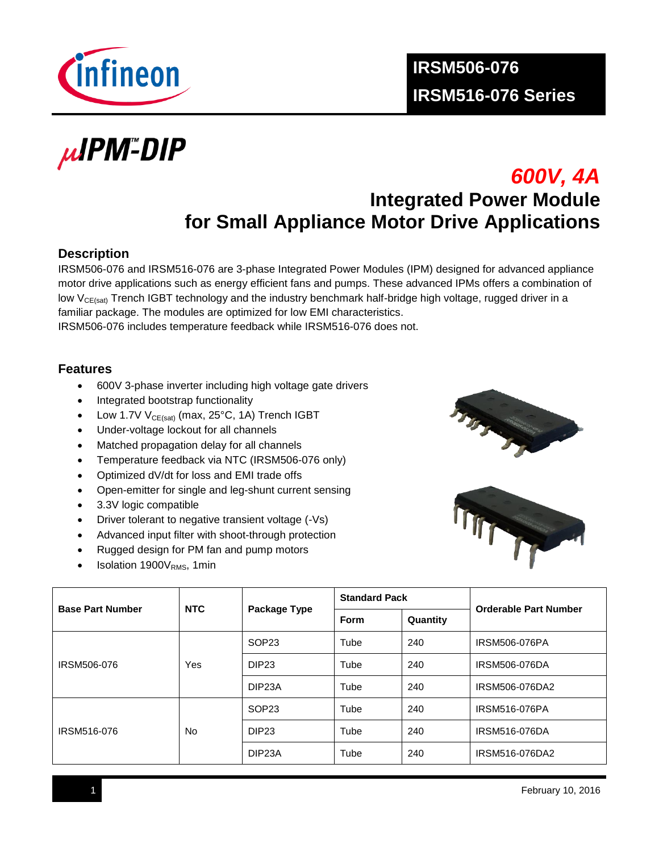

µIPM<sup>™</sup>DIP

# *600V, 4A* **Integrated Power Module for Small Appliance Motor Drive Applications**

#### **Description**

IRSM506-076 and IRSM516-076 are 3-phase Integrated Power Modules (IPM) designed for advanced appliance motor drive applications such as energy efficient fans and pumps. These advanced IPMs offers a combination of low V<sub>CE(sat)</sub> Trench IGBT technology and the industry benchmark half-bridge high voltage, rugged driver in a familiar package. The modules are optimized for low EMI characteristics.

IRSM506-076 includes temperature feedback while IRSM516-076 does not.

#### **Features**

- 600V 3-phase inverter including high voltage gate drivers
- Integrated bootstrap functionality
- $\bullet$  Low 1.7V V<sub>CE(sat)</sub> (max, 25°C, 1A) Trench IGBT
- Under-voltage lockout for all channels
- Matched propagation delay for all channels
- Temperature feedback via NTC (IRSM506-076 only)
- Optimized dV/dt for loss and EMI trade offs
- Open-emitter for single and leg-shunt current sensing
- 3.3V logic compatible
- Driver tolerant to negative transient voltage (-Vs)
- Advanced input filter with shoot-through protection
- Rugged design for PM fan and pump motors
- Isolation  $1900V<sub>RMS</sub>$ , 1min





| <b>NTC</b><br><b>Base Part Number</b> |           |                     | <b>Standard Pack</b> |          | <b>Orderable Part Number</b> |  |
|---------------------------------------|-----------|---------------------|----------------------|----------|------------------------------|--|
|                                       |           | Package Type        | Form                 | Quantity |                              |  |
|                                       |           | SOP <sub>23</sub>   | Tube                 | 240      | <b>IRSM506-076PA</b>         |  |
| IRSM506-076                           | Yes       | DIP <sub>23</sub>   | Tube                 | 240      | IRSM506-076DA                |  |
|                                       |           | DIP <sub>23</sub> A | Tube                 | 240      | IRSM506-076DA2               |  |
|                                       |           | SOP <sub>23</sub>   | Tube                 | 240      | IRSM516-076PA                |  |
| IRSM516-076                           | <b>No</b> | DIP <sub>23</sub>   | Tube                 | 240      | IRSM516-076DA                |  |
|                                       |           | DIP <sub>23</sub> A | Tube                 | 240      | IRSM516-076DA2               |  |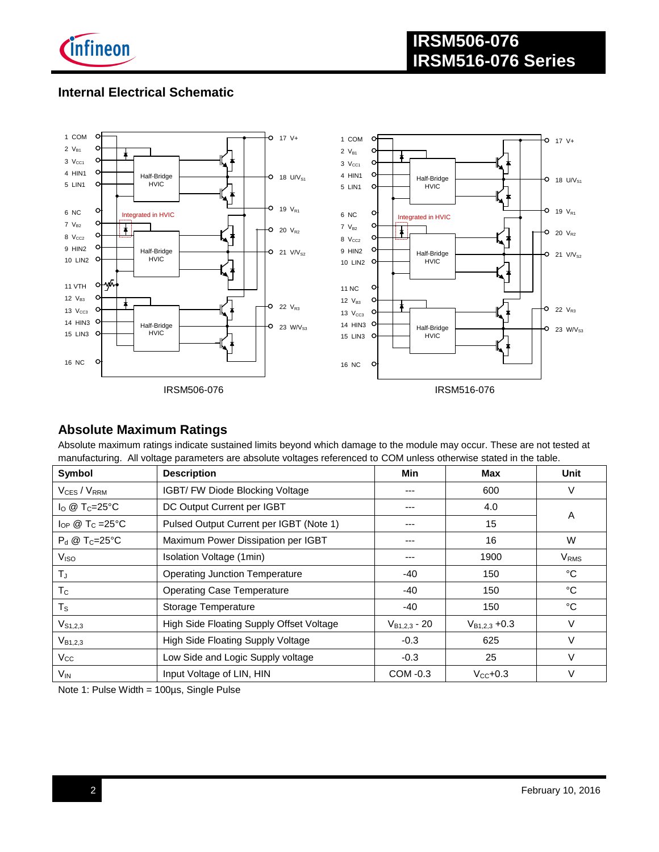

# **Internal Electrical Schematic**



#### **Absolute Maximum Ratings**

Absolute maximum ratings indicate sustained limits beyond which damage to the module may occur. These are not tested at manufacturing. All voltage parameters are absolute voltages referenced to COM unless otherwise stated in the table.

| Symbol                             | <b>Description</b>                       | Min               | <b>Max</b>           | <b>Unit</b>             |
|------------------------------------|------------------------------------------|-------------------|----------------------|-------------------------|
| $V_{CES} / V_{RRM}$                | IGBT/ FW Diode Blocking Voltage          | ---               | 600                  | V                       |
| $I_{\rm O}$ @ T <sub>C</sub> =25°C | DC Output Current per IGBT               | ---               | 4.0                  | A                       |
| $I_{OP}$ @ T <sub>C</sub> = 25°C   | Pulsed Output Current per IGBT (Note 1)  | ---               | 15                   |                         |
| $P_d \otimes T_C = 25^{\circ}C$    | Maximum Power Dissipation per IGBT       | ---               | 16                   | W                       |
| V <sub>ISO</sub>                   | Isolation Voltage (1min)                 | ---               | 1900                 | <b>V</b> <sub>RMS</sub> |
| $T_{\rm J}$                        | <b>Operating Junction Temperature</b>    | -40               | 150                  | °C                      |
| $T_{\rm C}$                        | <b>Operating Case Temperature</b>        | -40               | 150                  | °C                      |
| $T_S$                              | Storage Temperature                      | -40               | 150                  | °C                      |
| $V_{S1,2,3}$                       | High Side Floating Supply Offset Voltage | $V_{B1,2,3}$ - 20 | $V_{B1,2,3} + 0.3$   | V                       |
| $V_{B1,2,3}$                       | High Side Floating Supply Voltage        | $-0.3$            | 625                  | V                       |
| $V_{\rm CC}$                       | Low Side and Logic Supply voltage        | $-0.3$            | 25                   | V                       |
| V <sub>IN</sub>                    | Input Voltage of LIN, HIN                | COM -0.3          | $V_{\text{cc}}$ +0.3 | $\vee$                  |

Note 1: Pulse Width = 100µs, Single Pulse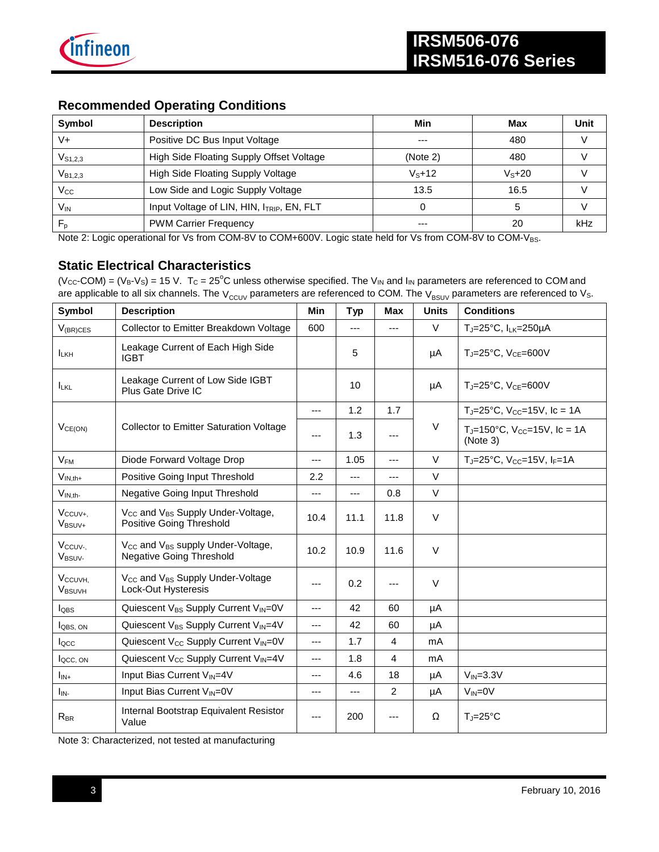

#### **Recommended Operating Conditions**

| Symbol          | <b>Description</b>                        | Min      | Max     | Unit |
|-----------------|-------------------------------------------|----------|---------|------|
| V+              | Positive DC Bus Input Voltage             | ---      | 480     |      |
| $V_{S1,2,3}$    | High Side Floating Supply Offset Voltage  | (Note 2) | 480     |      |
| $V_{B1,2,3}$    | High Side Floating Supply Voltage         | $Vs+12$  | $Vs+20$ |      |
| $V_{\rm CC}$    | Low Side and Logic Supply Voltage         | 13.5     | 16.5    |      |
| V <sub>IN</sub> | Input Voltage of LIN, HIN, ITRIP, EN, FLT |          |         |      |
| $F_{p}$         | <b>PWM Carrier Frequency</b>              | ---      | 20      | kHz  |

Note 2: Logic operational for Vs from COM-8V to COM+600V. Logic state held for Vs from COM-8V to COM-VBS.

#### **Static Electrical Characteristics**

(V<sub>CC</sub>-COM) = (V<sub>B</sub>-V<sub>S</sub>) = 15 V. T<sub>C</sub> = 25<sup>o</sup>C unless otherwise specified. The V<sub>IN</sub> and I<sub>IN</sub> parameters are referenced to COM and are applicable to all six channels. The  $V_{CCUV}$  parameters are referenced to COM. The  $V_{BSUV}$  parameters are referenced to  $V_S$ .

| Symbol                                    | <b>Description</b>                                                                           | <b>Min</b> | <b>Typ</b> | Max            | <b>Units</b> | <b>Conditions</b>                                         |
|-------------------------------------------|----------------------------------------------------------------------------------------------|------------|------------|----------------|--------------|-----------------------------------------------------------|
| $V_{(BR)CES}$                             | Collector to Emitter Breakdown Voltage                                                       | 600        | $---$      | $---$          | V            | TJ=25°C, ILK=250µA                                        |
| <b>I</b> LKH                              | Leakage Current of Each High Side<br><b>IGBT</b>                                             |            | 5          |                | μA           | $T_J = 25$ °C, $V_{CE} = 600V$                            |
| <b>ILKL</b>                               | Leakage Current of Low Side IGBT<br>Plus Gate Drive IC                                       |            | 10         |                | μA           | $T_J = 25$ °C, $V_{CE} = 600V$                            |
|                                           |                                                                                              | ---        | 1.2        | 1.7            |              | $T_J = 25^{\circ}C$ , $V_{CC} = 15V$ , $I_c = 1A$         |
| $V_{CE(ON)}$                              | <b>Collector to Emitter Saturation Voltage</b>                                               | ---        | 1.3        |                | $\vee$       | $T_{J}$ =150°C, V <sub>CC</sub> =15V, Ic = 1A<br>(Note 3) |
| $V_{FM}$                                  | Diode Forward Voltage Drop                                                                   | ---        | 1.05       | ---            | V            | $T_J = 25^{\circ}C$ , $V_{CC} = 15V$ , $I_F = 1A$         |
| $V_{IN,th+}$                              | Positive Going Input Threshold                                                               | 2.2        | $---$      | ---            | $\vee$       |                                                           |
| $V_{IN,th}$                               | Negative Going Input Threshold                                                               | ---        | $---$      | 0.8            | $\vee$       |                                                           |
| Vccuv+,<br>$V_{BSUV+}$                    | V <sub>CC</sub> and V <sub>BS</sub> Supply Under-Voltage,<br>Positive Going Threshold        | 10.4       | 11.1       | 11.8           | $\vee$       |                                                           |
| V <sub>ccuv</sub> .<br>V <sub>BSUV-</sub> | V <sub>CC</sub> and V <sub>BS</sub> supply Under-Voltage,<br><b>Negative Going Threshold</b> | 10.2       | 10.9       | 11.6           | $\vee$       |                                                           |
| V <sub>CCUVH</sub><br><b>VBSUVH</b>       | V <sub>CC</sub> and V <sub>BS</sub> Supply Under-Voltage<br>Lock-Out Hysteresis              | ---        | 0.2        |                | $\vee$       |                                                           |
| $I_{\text{OBS}}$                          | Quiescent V <sub>BS</sub> Supply Current V <sub>IN</sub> =0V                                 | ---        | 42         | 60             | μA           |                                                           |
| <b>LOBS. ON</b>                           | Quiescent V <sub>BS</sub> Supply Current V <sub>IN</sub> =4V                                 | ---        | 42         | 60             | μA           |                                                           |
| $I_{\text{QCC}}$                          | Quiescent $V_{CC}$ Supply Current $V_{IN} = 0V$                                              | ---        | 1.7        | 4              | mA           |                                                           |
| locc, ON                                  | Quiescent V <sub>cc</sub> Supply Current V <sub>IN</sub> =4V                                 | ---        | 1.8        | $\overline{4}$ | mA           |                                                           |
| $I_{IN+}$                                 | Input Bias Current VIN=4V                                                                    | ---        | 4.6        | 18             | μA           | $V_{IN}=3.3V$                                             |
| $I_{IN}$                                  | Input Bias Current V <sub>IN</sub> =0V                                                       | ---        | $---$      | $\overline{2}$ | μA           | $V_{IN} = 0V$                                             |
| $R_{BR}$                                  | Internal Bootstrap Equivalent Resistor<br>Value                                              | ---        | 200        |                | Ω            | $T_J = 25^{\circ}C$                                       |

Note 3: Characterized, not tested at manufacturing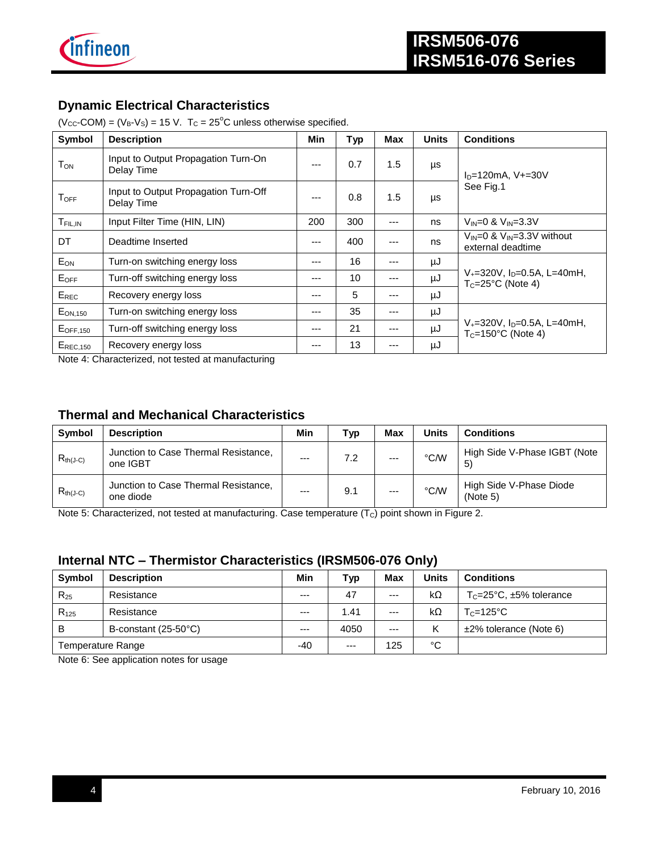

### **Dynamic Electrical Characteristics**

 $(V_{CC}$ -COM) =  $(V_B-V_S)$  = 15 V. T<sub>C</sub> = 25<sup>°</sup>C unless otherwise specified.

| Symbol               | <b>Description</b>                                 | Min   | <b>Typ</b> | Max | <b>Units</b> | <b>Conditions</b>                                                             |  |
|----------------------|----------------------------------------------------|-------|------------|-----|--------------|-------------------------------------------------------------------------------|--|
| $T_{\textsf{ON}}$    | Input to Output Propagation Turn-On<br>Delay Time  | $---$ | 0.7        | 1.5 | μs           | $ID=120mA, V+=30V$                                                            |  |
| $T_{\mathsf{OFF}}$   | Input to Output Propagation Turn-Off<br>Delay Time | ---   | 0.8        | 1.5 | μs           | See Fig.1                                                                     |  |
| T <sub>FIL, IN</sub> | Input Filter Time (HIN, LIN)                       | 200   | 300        | --- | ns           | $V_{IN} = 0$ & $V_{IN} = 3.3V$                                                |  |
| DT                   | Deadtime Inserted                                  | ---   | 400        | --- | ns           | $V_{IN} = 0$ & $V_{IN} = 3.3V$ without<br>external deadtime                   |  |
| EON                  | Turn-on switching energy loss                      | $---$ | 16         |     | μJ           |                                                                               |  |
| EOFF                 | Turn-off switching energy loss                     | ---   | 10         | --- | μJ           | $V_{+}$ =320V, I <sub>D</sub> =0.5A, L=40mH,<br>$T_c = 25^{\circ}$ C (Note 4) |  |
| $E_{REC}$            | Recovery energy loss                               | $---$ | 5          | --- | μJ           |                                                                               |  |
| $E_{ON,150}$         | Turn-on switching energy loss                      | $---$ | 35         | --- | μJ           |                                                                               |  |
| $E$ OFF,150          | Turn-off switching energy loss                     | ---   | 21         | --- | μJ           | $V_{+}$ =320V, I <sub>D</sub> =0.5A, L=40mH,<br>$T_c = 150$ °C (Note 4)       |  |
| $E_{REC, 150}$       | Recovery energy loss                               | $---$ | 13         | --- | μJ           |                                                                               |  |

Note 4: Characterized, not tested at manufacturing

#### **Thermal and Mechanical Characteristics**

| Symbol        | <b>Description</b>                                | Min  | Typ | Max   | Units | <b>Conditions</b>                   |
|---------------|---------------------------------------------------|------|-----|-------|-------|-------------------------------------|
| $R_{th(J-C)}$ | Junction to Case Thermal Resistance,<br>one IGBT  | $--$ | 7.2 | $---$ | °C∕W  | High Side V-Phase IGBT (Note<br>5   |
| $R_{th(J-C)}$ | Junction to Case Thermal Resistance,<br>one diode | $--$ | 9.1 | $---$ | °C∕W  | High Side V-Phase Diode<br>(Note 5) |

Note 5: Characterized, not tested at manufacturing. Case temperature (Tc) point shown in Figure 2.

### **Internal NTC – Thermistor Characteristics (IRSM506-076 Only)**

| <b>Symbol</b>     | <b>Description</b>   | Min   | Typ   | Max   | <b>Units</b> | <b>Conditions</b>                         |
|-------------------|----------------------|-------|-------|-------|--------------|-------------------------------------------|
| $R_{25}$          | Resistance           | $--$  | 47    | $---$ | kΩ           | $T_c = 25^{\circ}$ C, $\pm 5\%$ tolerance |
| $R_{125}$         | Resistance           | $--$  | 1.41  | $---$ | $k\Omega$    | $T_c = 125$ °C                            |
| B                 | B-constant (25-50°C) | $--$  | 4050  | $--$  | Κ            | $±2\%$ tolerance (Note 6)                 |
| Temperature Range |                      | $-40$ | $---$ | 125   | °C           |                                           |

Note 6: See application notes for usage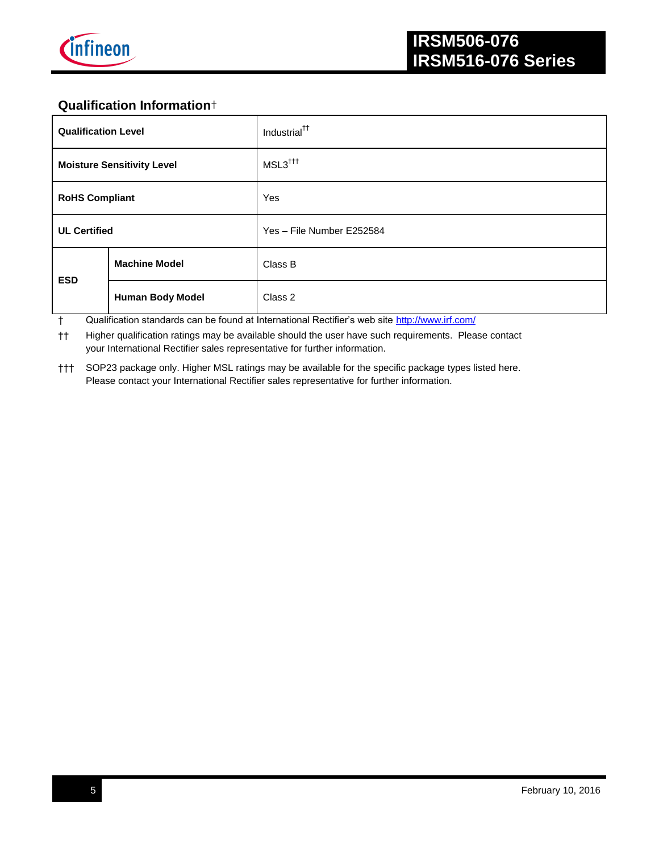

## **Qualification Information**†

| <b>Qualification Level</b> |                                   | Industrial <sup>††</sup>  |
|----------------------------|-----------------------------------|---------------------------|
|                            | <b>Moisture Sensitivity Level</b> | MSL3 <sup>†††</sup>       |
| <b>RoHS Compliant</b>      |                                   | Yes                       |
| <b>UL Certified</b>        |                                   | Yes - File Number E252584 |
| <b>ESD</b>                 | <b>Machine Model</b>              | Class B                   |
|                            | <b>Human Body Model</b>           | Class 2                   |

† Qualification standards can be found at International Rectifier's web site<http://www.irf.com/>

†† Higher qualification ratings may be available should the user have such requirements. Please contact your International Rectifier sales representative for further information.

††† SOP23 package only. Higher MSL ratings may be available for the specific package types listed here. Please contact your International Rectifier sales representative for further information.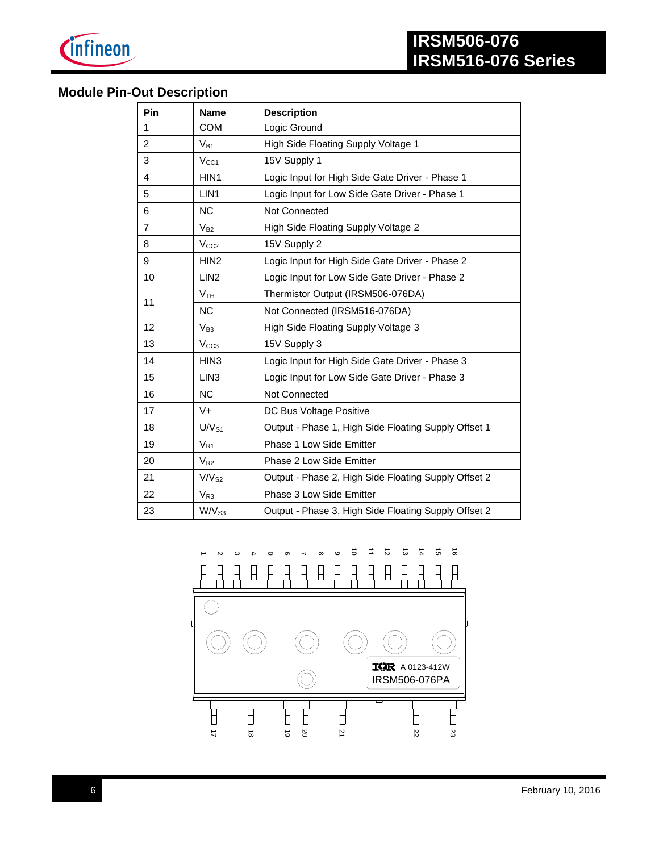

# **Module Pin-Out Description**

| Pin            | <b>Name</b>       | <b>Description</b>                                   |
|----------------|-------------------|------------------------------------------------------|
| 1              | <b>COM</b>        | Logic Ground                                         |
| 2              | $V_{B1}$          | High Side Floating Supply Voltage 1                  |
| 3              | V <sub>CC1</sub>  | 15V Supply 1                                         |
| 4              | HIN1              | Logic Input for High Side Gate Driver - Phase 1      |
| 5              | LIN1              | Logic Input for Low Side Gate Driver - Phase 1       |
| 6              | <b>NC</b>         | <b>Not Connected</b>                                 |
| $\overline{7}$ | $V_{B2}$          | High Side Floating Supply Voltage 2                  |
| 8              | V <sub>CC2</sub>  | 15V Supply 2                                         |
| 9              | HIN <sub>2</sub>  | Logic Input for High Side Gate Driver - Phase 2      |
| 10             | LIN <sub>2</sub>  | Logic Input for Low Side Gate Driver - Phase 2       |
| 11             | V <sub>TH</sub>   | Thermistor Output (IRSM506-076DA)                    |
|                | <b>NC</b>         | Not Connected (IRSM516-076DA)                        |
| 12             | $V_{B3}$          | High Side Floating Supply Voltage 3                  |
| 13             | V <sub>CC3</sub>  | 15V Supply 3                                         |
| 14             | HIN <sub>3</sub>  | Logic Input for High Side Gate Driver - Phase 3      |
| 15             | LIN <sub>3</sub>  | Logic Input for Low Side Gate Driver - Phase 3       |
| 16             | <b>NC</b>         | <b>Not Connected</b>                                 |
| 17             | $V +$             | DC Bus Voltage Positive                              |
| 18             | $UV_{S1}$         | Output - Phase 1, High Side Floating Supply Offset 1 |
| 19             | $V_{R1}$          | Phase 1 Low Side Emitter                             |
| 20             | $V_{R2}$          | Phase 2 Low Side Emitter                             |
| 21             | V/V <sub>S2</sub> | Output - Phase 2, High Side Floating Supply Offset 2 |
| 22             | $V_{R3}$          | Phase 3 Low Side Emitter                             |
| 23             | W/V <sub>S3</sub> | Output - Phase 3, High Side Floating Supply Offset 2 |

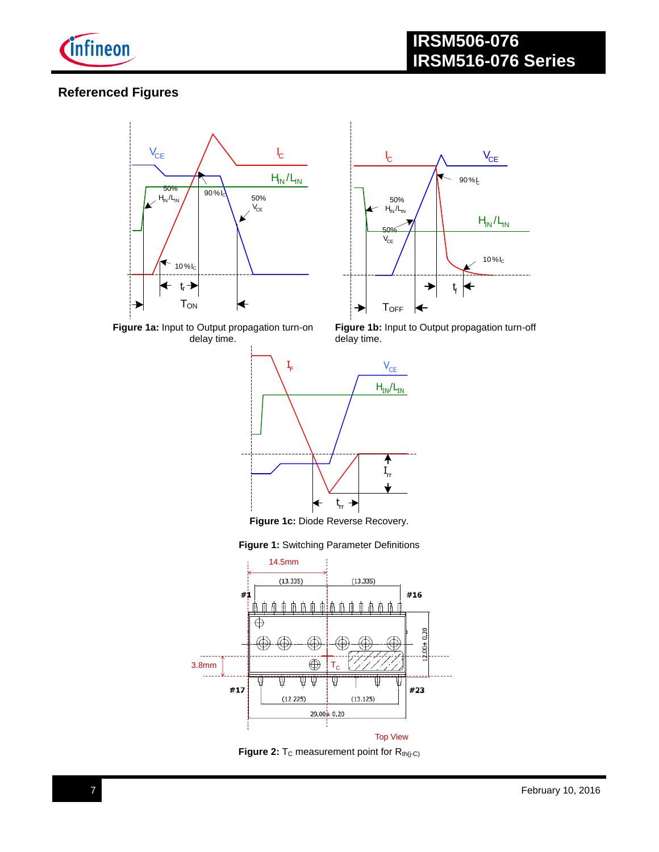

## **Referenced Figures**





**Figure 1a:** Input to Output propagation turn-on delay time.

Figure 1b: Input to Output propagation turn-off delay time.



**Figure 1c:** Diode Reverse Recovery.





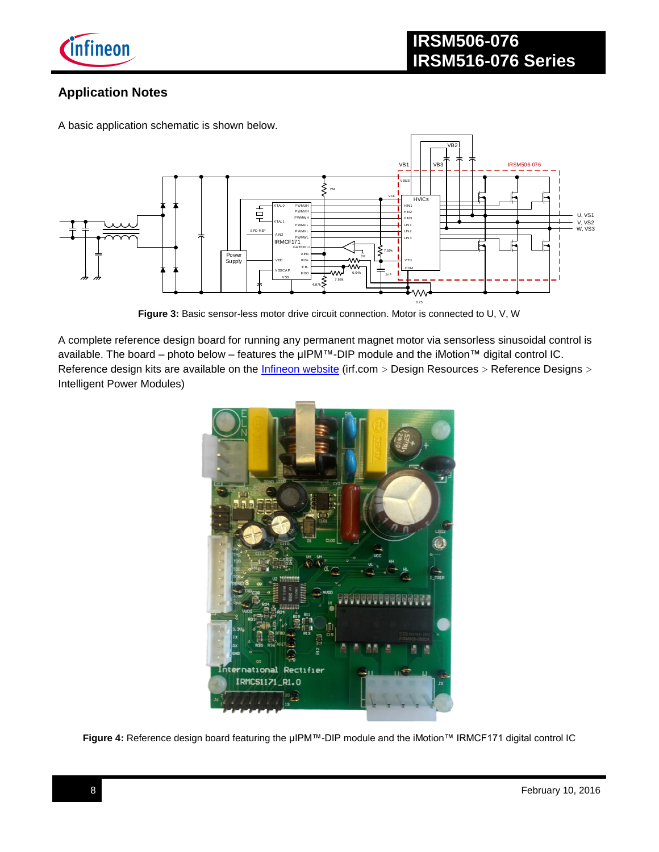

## **Application Notes**

A basic application schematic is shown below.



**Figure 3:** Basic sensor-less motor drive circuit connection. Motor is connected to U, V, W

A complete reference design board for running any permanent magnet motor via sensorless sinusoidal control is available. The board – photo below – features the µIPM™-DIP module and the iMotion™ digital control IC. Reference design kits are available on the *Infineon website* (irf.com > Design Resources > Reference Designs > Intelligent Power Modules)



**Figure 4:** Reference design board featuring the µIPM™-DIP module and the iMotion™ IRMCF171 digital control IC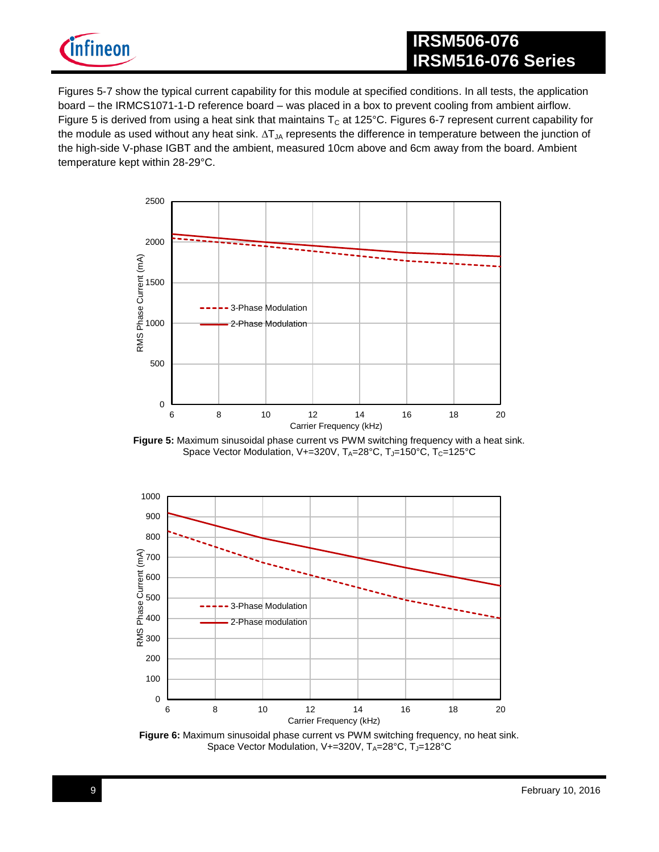

# **IRSM506-076 IRSM516-076 Series**

Figures 5-7 show the typical current capability for this module at specified conditions. In all tests, the application board – the IRMCS1071-1-D reference board – was placed in a box to prevent cooling from ambient airflow. Figure 5 is derived from using a heat sink that maintains  $T_c$  at 125°C. Figures 6-7 represent current capability for the module as used without any heat sink. ∆T<sub>JA</sub> represents the difference in temperature between the junction of the high-side V-phase IGBT and the ambient, measured 10cm above and 6cm away from the board. Ambient temperature kept within 28-29°C.



**Figure 5:** Maximum sinusoidal phase current vs PWM switching frequency with a heat sink. Space Vector Modulation, V+=320V, TA=28°C, TJ=150°C, Tc=125°C



**Figure 6:** Maximum sinusoidal phase current vs PWM switching frequency, no heat sink. Space Vector Modulation, V+=320V, TA=28°C, TJ=128°C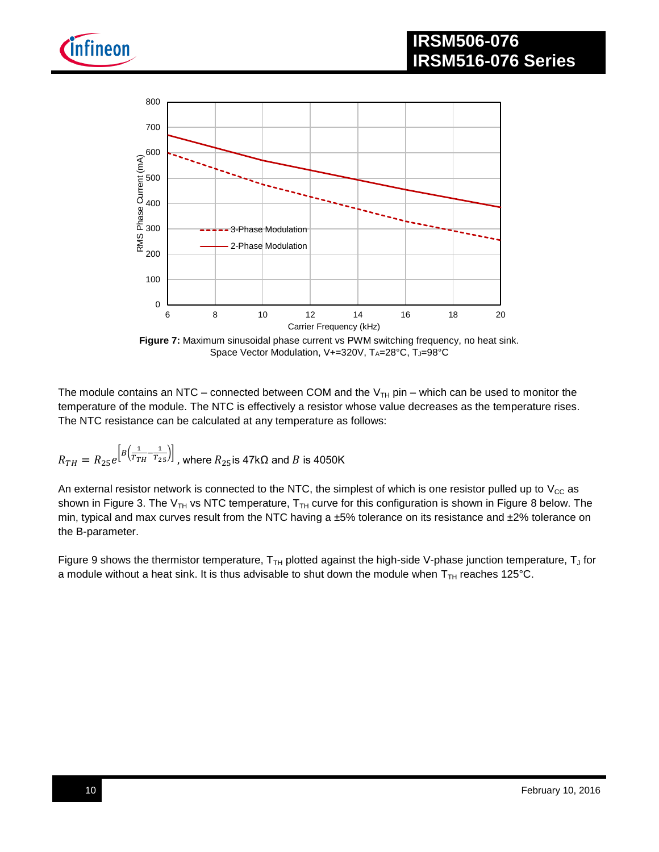





**Figure 7:** Maximum sinusoidal phase current vs PWM switching frequency, no heat sink. Space Vector Modulation, V+=320V, TA=28°C, TJ=98°C

The module contains an NTC – connected between COM and the  $V_{TH}$  pin – which can be used to monitor the temperature of the module. The NTC is effectively a resistor whose value decreases as the temperature rises. The NTC resistance can be calculated at any temperature as follows:

$$
R_{TH} = R_{25}e^{\left[B\left(\frac{1}{T_{TH}} - \frac{1}{T_{25}}\right)\right]}
$$
, where  $R_{25}$  is  $47k\Omega$  and  $B$  is  $4050K$ 

An external resistor network is connected to the NTC, the simplest of which is one resistor pulled up to  $V_{CC}$  as shown in Figure 3. The V<sub>TH</sub> vs NTC temperature,  $T_{TH}$  curve for this configuration is shown in Figure 8 below. The min, typical and max curves result from the NTC having a ±5% tolerance on its resistance and ±2% tolerance on the B-parameter.

Figure 9 shows the thermistor temperature,  $T_{TH}$  plotted against the high-side V-phase junction temperature,  $T_J$  for a module without a heat sink. It is thus advisable to shut down the module when  $T<sub>TH</sub>$  reaches 125°C.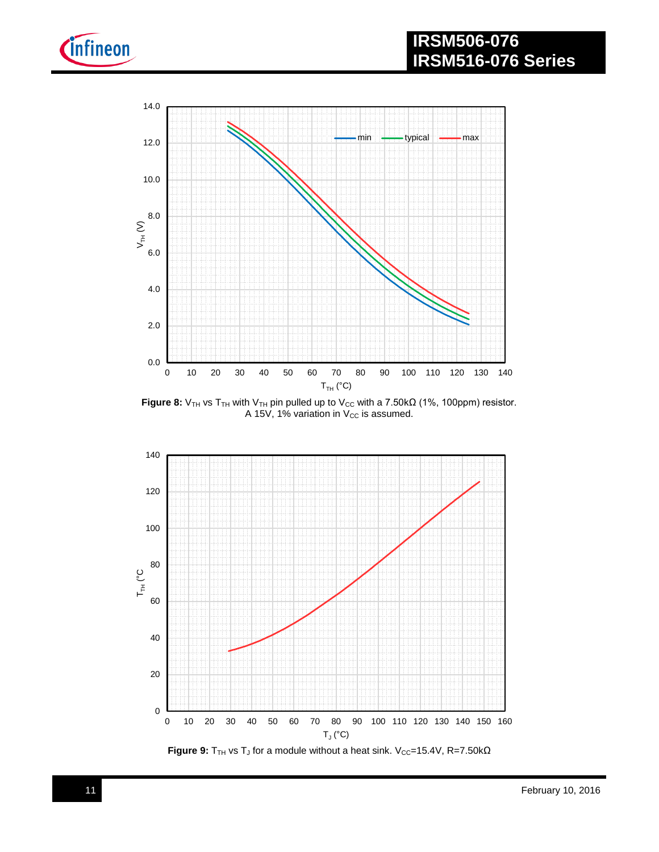

# **IRSM506-076 IRSM516-076 Series**



Figure 8: V<sub>TH</sub> vs T<sub>TH</sub> with V<sub>TH</sub> pin pulled up to V<sub>CC</sub> with a 7.50kΩ (1%, 100ppm) resistor. A 15V, 1% variation in  $V_{CC}$  is assumed.



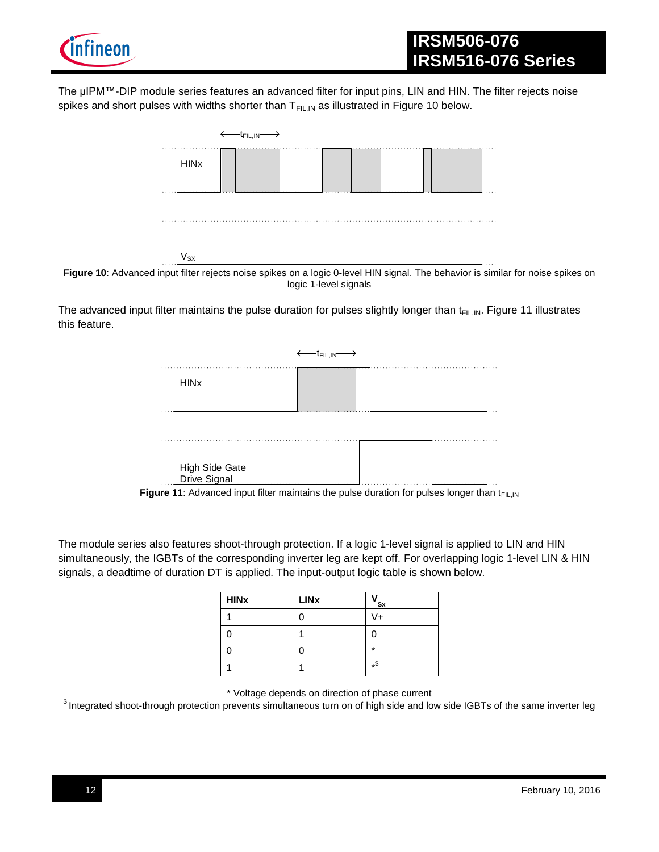

The µIPM™-DIP module series features an advanced filter for input pins, LIN and HIN. The filter rejects noise spikes and short pulses with widths shorter than  $T_{FIL,IN}$  as illustrated in Figure 10 below.



Figure 10: Advanced input filter rejects noise spikes on a logic 0-level HIN signal. The behavior is similar for noise spikes on logic 1-level signals

The advanced input filter maintains the pulse duration for pulses slightly longer than  $t_{FIL,IN}$ . Figure 11 illustrates this feature.

| <b>HIN<sub>x</sub></b> |  |   |
|------------------------|--|---|
| .                      |  |   |
| .                      |  | . |

**Figure 11**: Advanced input filter maintains the pulse duration for pulses longer than  $t_{F|L,IN}$ 

The module series also features shoot-through protection. If a logic 1-level signal is applied to LIN and HIN simultaneously, the IGBTs of the corresponding inverter leg are kept off. For overlapping logic 1-level LIN & HIN signals, a deadtime of duration DT is applied. The input-output logic table is shown below.

| <b>HINX</b> | <b>LINx</b> | ' Sx    |
|-------------|-------------|---------|
|             |             | V+      |
|             |             |         |
|             | ი           | $\star$ |
|             |             | $*$ \$  |

\* Voltage depends on direction of phase current

 $$$  Integrated shoot-through protection prevents simultaneous turn on of high side and low side IGBTs of the same inverter leg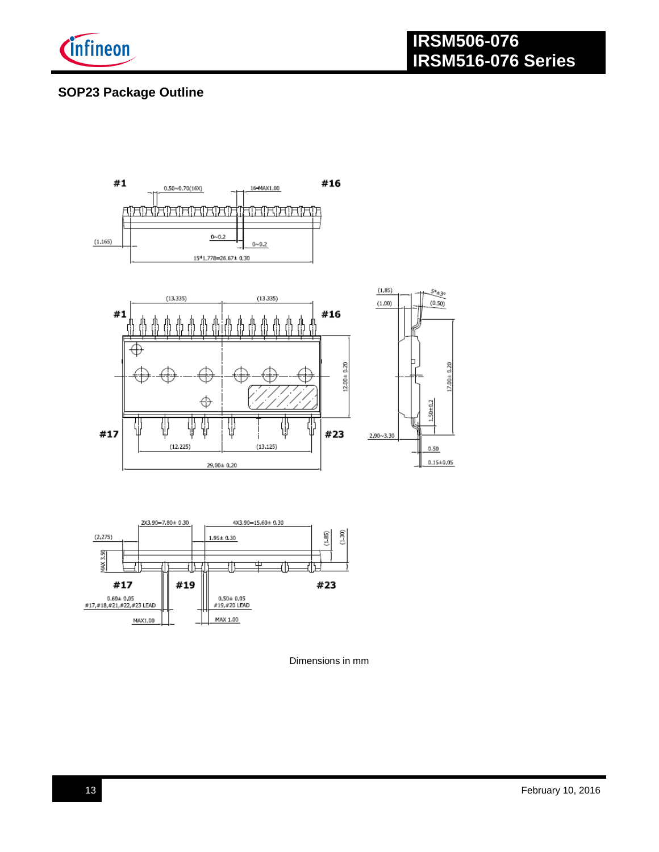

# **SOP23 Package Outline**





Dimensions in mm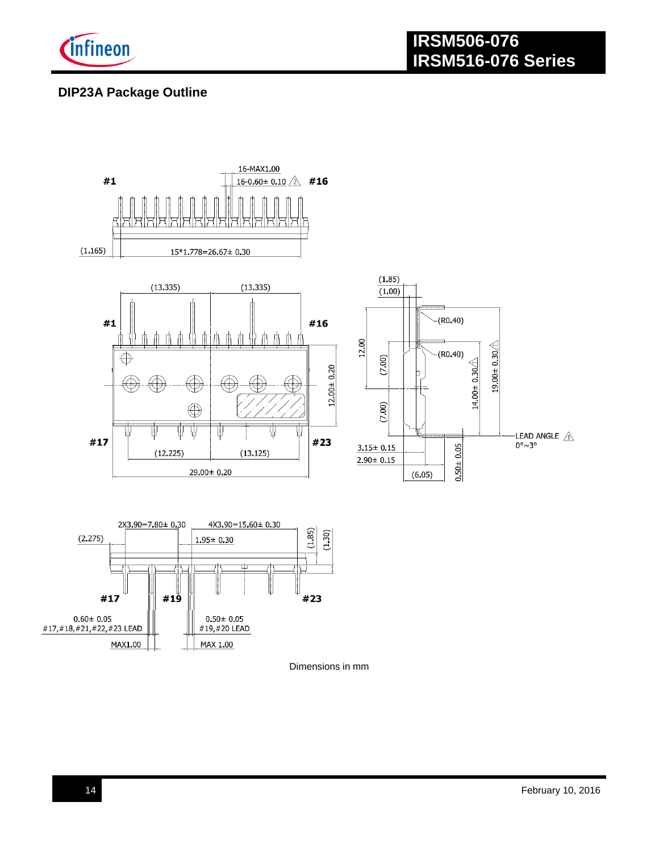

# **DIP23A Package Outline**



Dimensions in mm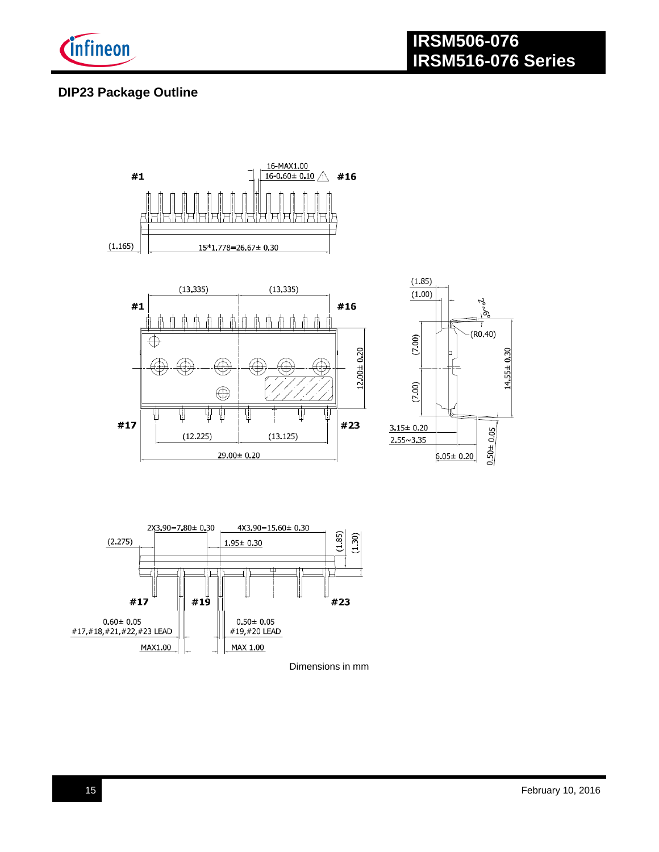

## **DIP23 Package Outline**



Dimensions in mm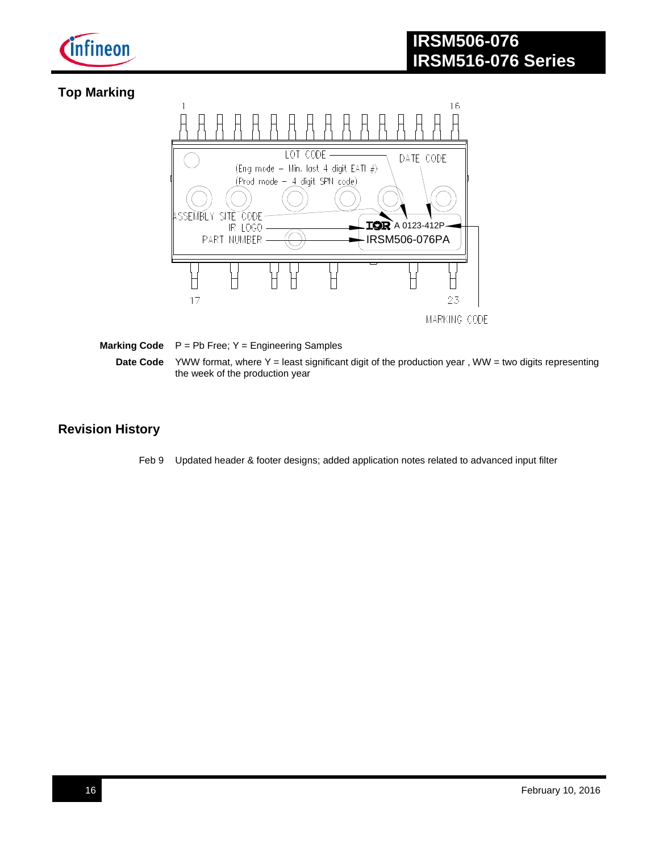

# **Top Marking**



#### **Marking Code**  $P = Pb$  Free; Y = Engineering Samples **Date Code** YWW format, where Y = least significant digit of the production year, WW = two digits representing the week of the production year

### **Revision History**

Feb 9 Updated header & footer designs; added application notes related to advanced input filter